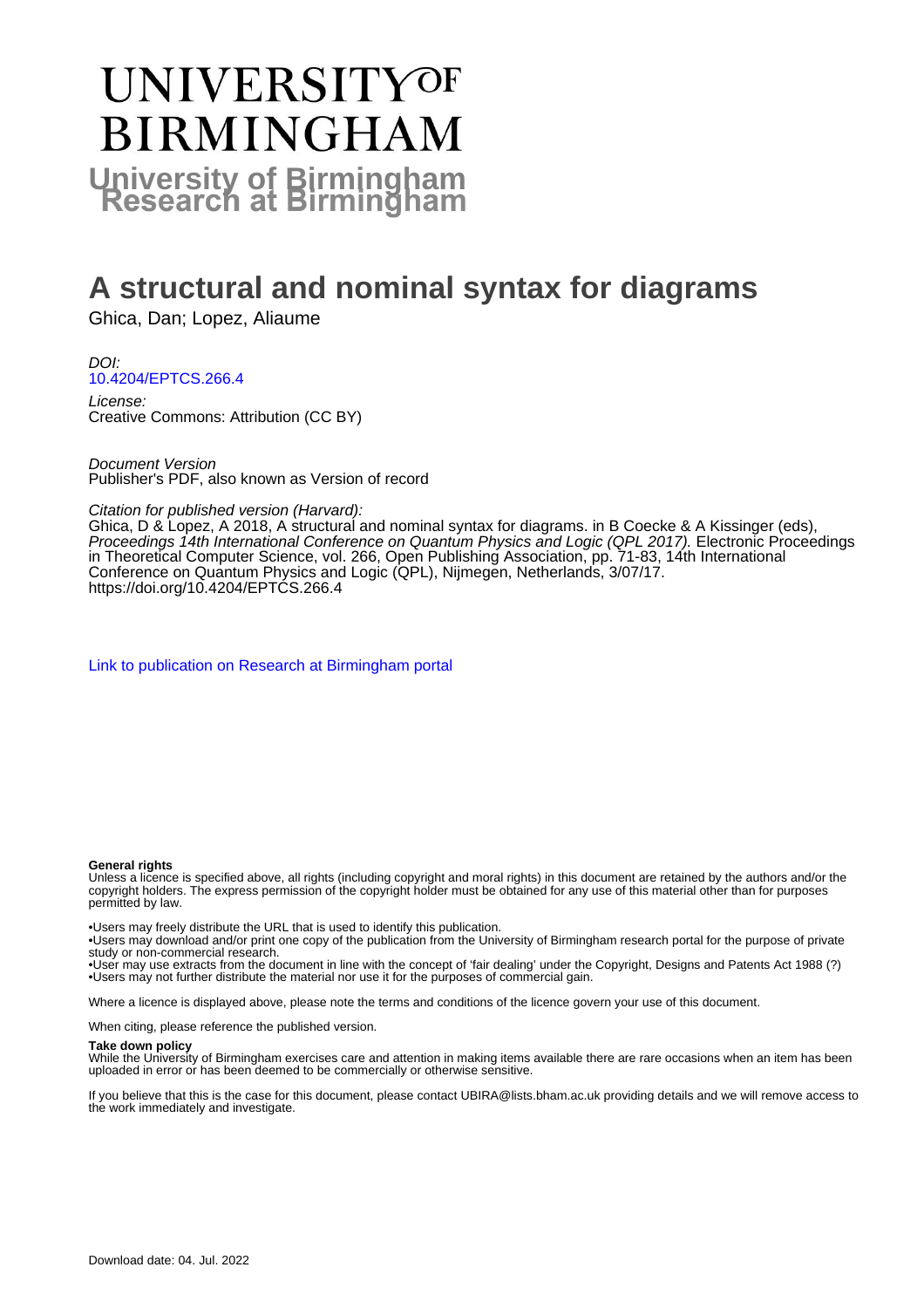# **UNIVERSITYOF BIRMINGHAM University of Birmingham**

# **A structural and nominal syntax for diagrams**

Ghica, Dan; Lopez, Aliaume

DOI: [10.4204/EPTCS.266.4](https://doi.org/10.4204/EPTCS.266.4)

License: Creative Commons: Attribution (CC BY)

Document Version Publisher's PDF, also known as Version of record

#### Citation for published version (Harvard):

Ghica, D & Lopez, A 2018, A structural and nominal syntax for diagrams. in B Coecke & A Kissinger (eds), Proceedings 14th International Conference on Quantum Physics and Logic (QPL 2017). Electronic Proceedings in Theoretical Computer Science, vol. 266, Open Publishing Association, pp. 71-83, 14th International Conference on Quantum Physics and Logic (QPL), Nijmegen, Netherlands, 3/07/17. <https://doi.org/10.4204/EPTCS.266.4>

[Link to publication on Research at Birmingham portal](https://birmingham.elsevierpure.com/en/publications/d3062098-5443-486a-83f3-2ce7fef98fe0)

#### **General rights**

Unless a licence is specified above, all rights (including copyright and moral rights) in this document are retained by the authors and/or the copyright holders. The express permission of the copyright holder must be obtained for any use of this material other than for purposes permitted by law.

• Users may freely distribute the URL that is used to identify this publication.

- • Users may download and/or print one copy of the publication from the University of Birmingham research portal for the purpose of private study or non-commercial research.
- • User may use extracts from the document in line with the concept of 'fair dealing' under the Copyright, Designs and Patents Act 1988 (?) • Users may not further distribute the material nor use it for the purposes of commercial gain.

Where a licence is displayed above, please note the terms and conditions of the licence govern your use of this document.

When citing, please reference the published version.

#### **Take down policy**

While the University of Birmingham exercises care and attention in making items available there are rare occasions when an item has been uploaded in error or has been deemed to be commercially or otherwise sensitive.

If you believe that this is the case for this document, please contact UBIRA@lists.bham.ac.uk providing details and we will remove access to the work immediately and investigate.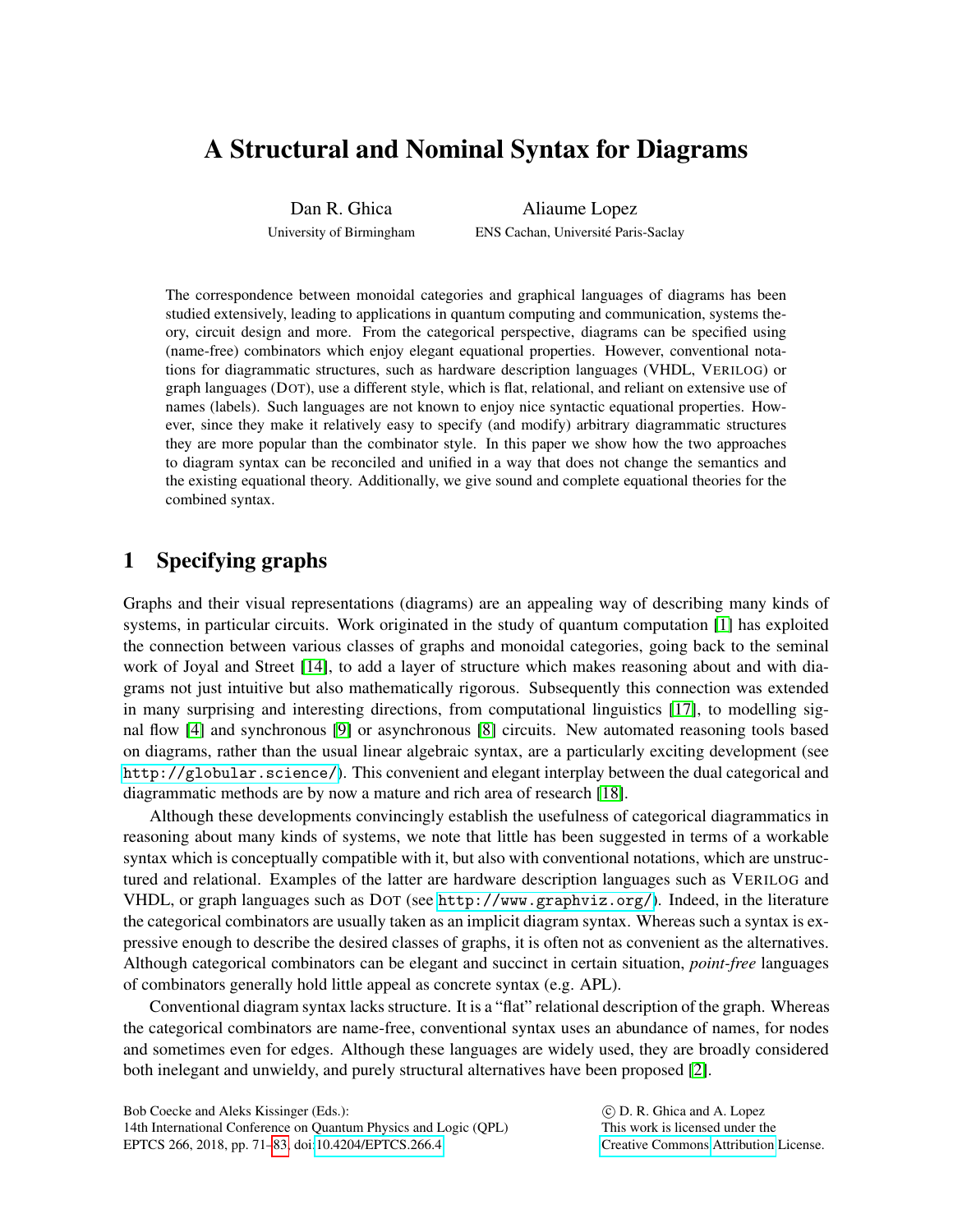# A Structural and Nominal Syntax for Diagrams

Dan R. Ghica University of Birmingham

Aliaume Lopez ENS Cachan, Université Paris-Saclay

The correspondence between monoidal categories and graphical languages of diagrams has been studied extensively, leading to applications in quantum computing and communication, systems theory, circuit design and more. From the categorical perspective, diagrams can be specified using (name-free) combinators which enjoy elegant equational properties. However, conventional notations for diagrammatic structures, such as hardware description languages (VHDL, VERILOG) or graph languages (DOT), use a different style, which is flat, relational, and reliant on extensive use of names (labels). Such languages are not known to enjoy nice syntactic equational properties. However, since they make it relatively easy to specify (and modify) arbitrary diagrammatic structures they are more popular than the combinator style. In this paper we show how the two approaches to diagram syntax can be reconciled and unified in a way that does not change the semantics and the existing equational theory. Additionally, we give sound and complete equational theories for the combined syntax.

# 1 Specifying graphs

Graphs and their visual representations (diagrams) are an appealing way of describing many kinds of systems, in particular circuits. Work originated in the study of quantum computation [\[1\]](#page-12-0) has exploited the connection between various classes of graphs and monoidal categories, going back to the seminal work of Joyal and Street [\[14\]](#page-13-1), to add a layer of structure which makes reasoning about and with diagrams not just intuitive but also mathematically rigorous. Subsequently this connection was extended in many surprising and interesting directions, from computational linguistics [\[17\]](#page-13-2), to modelling signal flow [\[4\]](#page-13-3) and synchronous [\[9\]](#page-13-4) or asynchronous [\[8\]](#page-13-5) circuits. New automated reasoning tools based on diagrams, rather than the usual linear algebraic syntax, are a particularly exciting development (see <http://globular.science/>). This convenient and elegant interplay between the dual categorical and diagrammatic methods are by now a mature and rich area of research [\[18\]](#page-13-6).

Although these developments convincingly establish the usefulness of categorical diagrammatics in reasoning about many kinds of systems, we note that little has been suggested in terms of a workable syntax which is conceptually compatible with it, but also with conventional notations, which are unstructured and relational. Examples of the latter are hardware description languages such as VERILOG and VHDL, or graph languages such as DOT (see <http://www.graphviz.org/>). Indeed, in the literature the categorical combinators are usually taken as an implicit diagram syntax. Whereas such a syntax is expressive enough to describe the desired classes of graphs, it is often not as convenient as the alternatives. Although categorical combinators can be elegant and succinct in certain situation, *point-free* languages of combinators generally hold little appeal as concrete syntax (e.g. APL).

Conventional diagram syntax lacks structure. It is a "flat" relational description of the graph. Whereas the categorical combinators are name-free, conventional syntax uses an abundance of names, for nodes and sometimes even for edges. Although these languages are widely used, they are broadly considered both inelegant and unwieldy, and purely structural alternatives have been proposed [\[2\]](#page-12-1).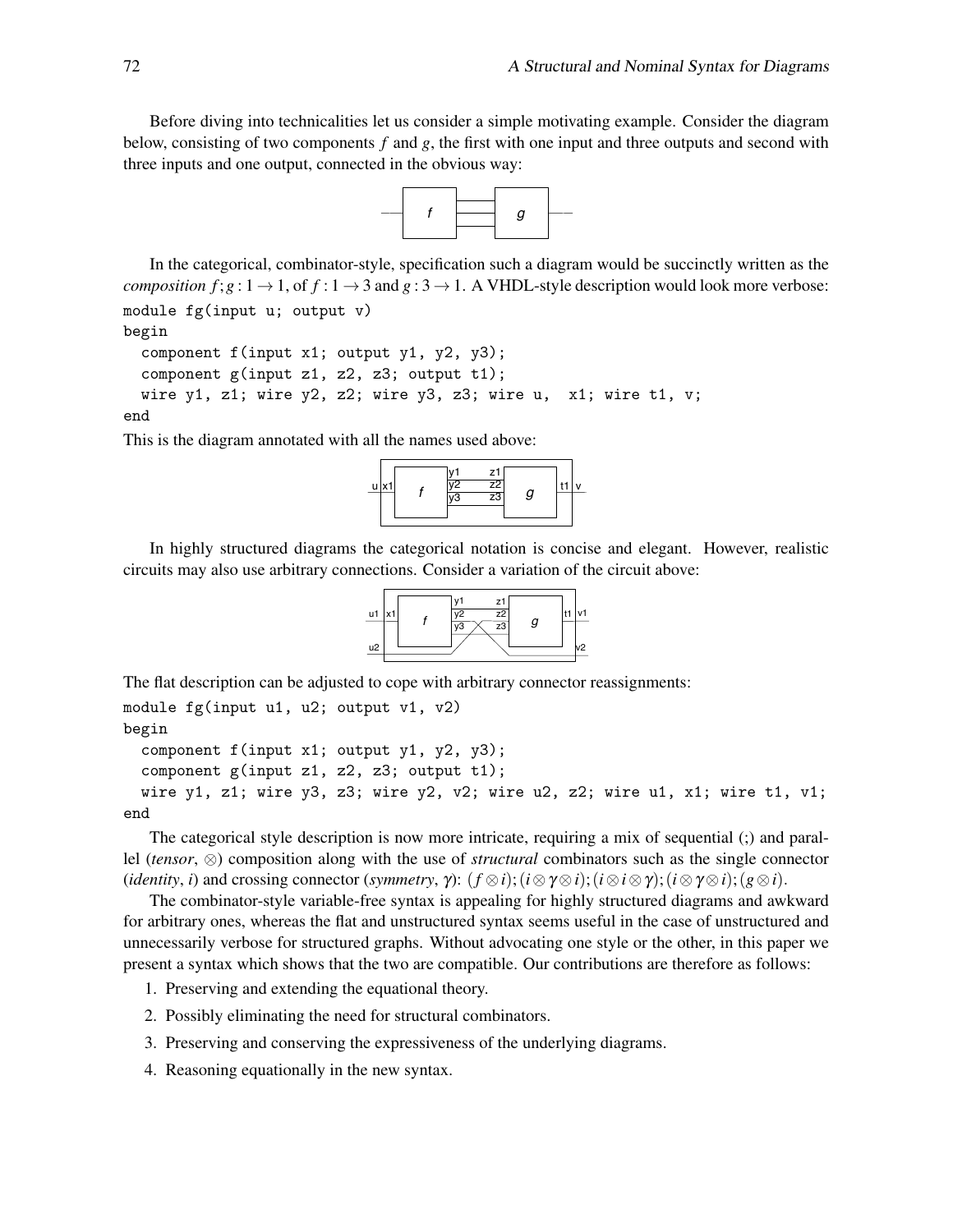Before diving into technicalities let us consider a simple motivating example. Consider the diagram below, consisting of two components *f* and *g*, the first with one input and three outputs and second with three inputs and one output, connected in the obvious way:



In the categorical, combinator-style, specification such a diagram would be succinctly written as the *composition f*;  $g: 1 \rightarrow 1$ , of  $f: 1 \rightarrow 3$  and  $g: 3 \rightarrow 1$ . A VHDL-style description would look more verbose: module fg(input u; output v)

begin

```
component f(input x1; output y1, y2, y3);
 component g(input z1, z2, z3; output t1);
 wire y1, z1; wire y2, z2; wire y3, z3; wire u, x1; wire t1, v;
end
```
This is the diagram annotated with all the names used above:



In highly structured diagrams the categorical notation is concise and elegant. However, realistic circuits may also use arbitrary connections. Consider a variation of the circuit above:



The flat description can be adjusted to cope with arbitrary connector reassignments:

```
module fg(input u1, u2; output v1, v2)
begin
  component f(input x1; output y1, y2, y3);
  component g(input z1, z2, z3; output t1);
  wire y1, z1; wire y3, z3; wire y2, v2; wire u2, z2; wire u1, x1; wire t1, v1;
end
```
The categorical style description is now more intricate, requiring a mix of sequential (;) and parallel (*tensor*, ⊗) composition along with the use of *structural* combinators such as the single connector (*identity*, *i*) and crossing connector (*symmetry*,  $\gamma$ ): ( $f \otimes i$ );( $i \otimes \gamma \otimes i$ );( $i \otimes \gamma \otimes i$ );( $g \otimes i$ ).

The combinator-style variable-free syntax is appealing for highly structured diagrams and awkward for arbitrary ones, whereas the flat and unstructured syntax seems useful in the case of unstructured and unnecessarily verbose for structured graphs. Without advocating one style or the other, in this paper we present a syntax which shows that the two are compatible. Our contributions are therefore as follows:

1. Preserving and extending the equational theory.

- 2. Possibly eliminating the need for structural combinators.
- 3. Preserving and conserving the expressiveness of the underlying diagrams.
- 4. Reasoning equationally in the new syntax.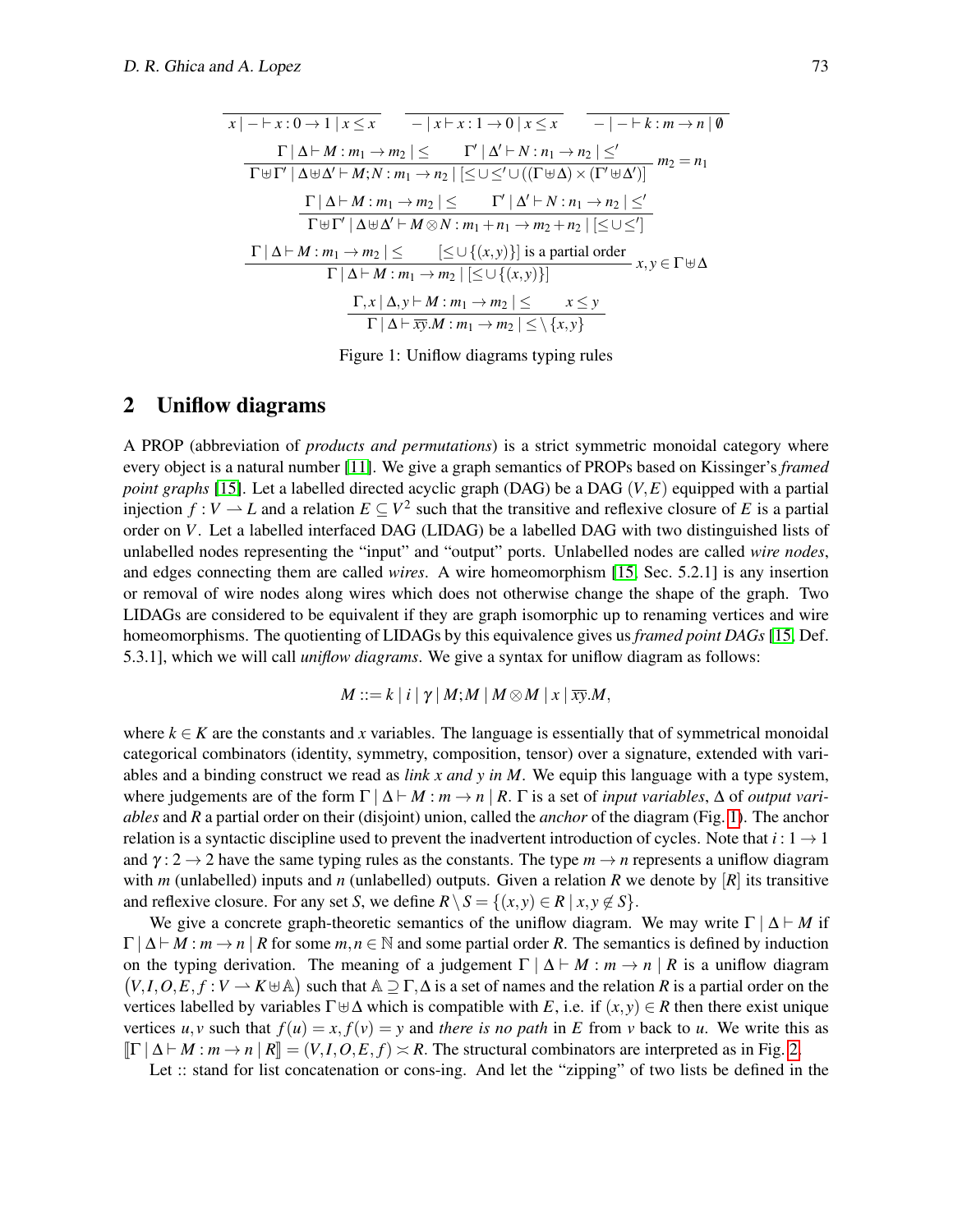$$
\begin{array}{c|c|c|c|c|c|c} \hline x & -|x+y:0 \to 1 \mid x \leq x & -|x+y:1 \to 0 \mid x \leq x & -|-k:m \to n \mid \emptyset \\ \hline \hline \Gamma \cup \Delta \vdash M:m_1 \to m_2 \mid \leq & \Gamma' \mid \Delta' \vdash N:n_1 \to n_2 \mid \leq' \\ \hline \hline \Gamma \uplus \Gamma' \mid \Delta \uplus \Delta' \vdash M; N:m_1 \to n_2 \mid \leq \cup \leq' \cup ((\Gamma \uplus \Delta) \times (\Gamma' \uplus \Delta')) & m_2 = n_1 \\ \hline \hline \Gamma \mid \Delta \vdash M:m_1 \to m_2 \mid \leq & \Gamma' \mid \Delta' \vdash N:n_1 \to n_2 \mid \leq' \\ \hline \hline \Gamma \uplus \Gamma' \mid \Delta \uplus \Delta' \vdash M \otimes N:m_1+n_1 \to m_2+n_2 \mid \leq \cup \leq' ] \\ \hline \Gamma \mid \Delta \vdash M:m_1 \to m_2 \mid \leq & [\leq \cup \{(x,y)\}] \text{ is a partial order} \\ \hline \Gamma \mid \Delta \vdash M:m_1 \to m_2 \mid \leq \cup \{(x,y)\} ] & & & & \Gamma, x \mid \Delta, y \vdash M:m_1 \to m_2 \mid \leq & x \leq y \\ \hline \Gamma \mid \Delta \vdash \overline{xy}.M:m_1 \to m_2 \mid \leq \setminus \{x,y\} \end{array}
$$

<span id="page-3-0"></span>Figure 1: Uniflow diagrams typing rules

## 2 Uniflow diagrams

A PROP (abbreviation of *products and permutations*) is a strict symmetric monoidal category where every object is a natural number [\[11\]](#page-13-7). We give a graph semantics of PROPs based on Kissinger's *framed point graphs* [\[15\]](#page-13-8). Let a labelled directed acyclic graph (DAG) be a DAG (*V*,*E*) equipped with a partial injection  $f: V \to L$  and a relation  $E \subseteq V^2$  such that the transitive and reflexive closure of E is a partial order on *V*. Let a labelled interfaced DAG (LIDAG) be a labelled DAG with two distinguished lists of unlabelled nodes representing the "input" and "output" ports. Unlabelled nodes are called *wire nodes*, and edges connecting them are called *wires*. A wire homeomorphism [\[15,](#page-13-8) Sec. 5.2.1] is any insertion or removal of wire nodes along wires which does not otherwise change the shape of the graph. Two LIDAGs are considered to be equivalent if they are graph isomorphic up to renaming vertices and wire homeomorphisms. The quotienting of LIDAGs by this equivalence gives us *framed point DAGs* [\[15,](#page-13-8) Def. 5.3.1], which we will call *uniflow diagrams*. We give a syntax for uniflow diagram as follows:

$$
M ::= k | i | \gamma | M; M | M \otimes M | x | \overline{xy}.M,
$$

where  $k \in K$  are the constants and *x* variables. The language is essentially that of symmetrical monoidal categorical combinators (identity, symmetry, composition, tensor) over a signature, extended with variables and a binding construct we read as *link x and y in M*. We equip this language with a type system, where judgements are of the form  $\Gamma | \Delta \vdash M : m \rightarrow n | R$ .  $\Gamma$  is a set of *input variables*,  $\Delta$  of *output variables* and *R* a partial order on their (disjoint) union, called the *anchor* of the diagram (Fig. [1\)](#page-3-0). The anchor relation is a syntactic discipline used to prevent the inadvertent introduction of cycles. Note that  $i: 1 \rightarrow 1$ and  $\gamma$ : 2  $\rightarrow$  2 have the same typing rules as the constants. The type  $m \rightarrow n$  represents a uniflow diagram with *m* (unlabelled) inputs and *n* (unlabelled) outputs. Given a relation *R* we denote by  $[R]$  its transitive and reflexive closure. For any set *S*, we define  $R \setminus S = \{(x, y) \in R \mid x, y \notin S\}$ .

We give a concrete graph-theoretic semantics of the uniflow diagram. We may write  $\Gamma | \Delta \vdash M$  if  $\Gamma | \Delta \vdash M : m \rightarrow n | R$  for some  $m, n \in \mathbb{N}$  and some partial order R. The semantics is defined by induction on the typing derivation. The meaning of a judgement  $\Gamma | \Delta \vdash M : m \rightarrow n | R$  is a uniflow diagram  $(V, I, O, E, f : V \to K \cup \mathbb{A})$  such that  $\mathbb{A} \supseteq \Gamma, \Delta$  is a set of names and the relation *R* is a partial order on the vertices labelled by variables  $\Gamma \oplus \Delta$  which is compatible with *E*, i.e. if  $(x, y) \in R$  then there exist unique vertices  $u, v$  such that  $f(u) = x, f(v) = y$  and *there is no path* in *E* from *v* back to *u*. We write this as  $\left[\Gamma \mid \Delta \vdash M : m \to n \mid R\right] = (V, I, O, E, f) \asymp R$ . The structural combinators are interpreted as in Fig. [2.](#page-4-0)

Let :: stand for list concatenation or cons-ing. And let the "zipping" of two lists be defined in the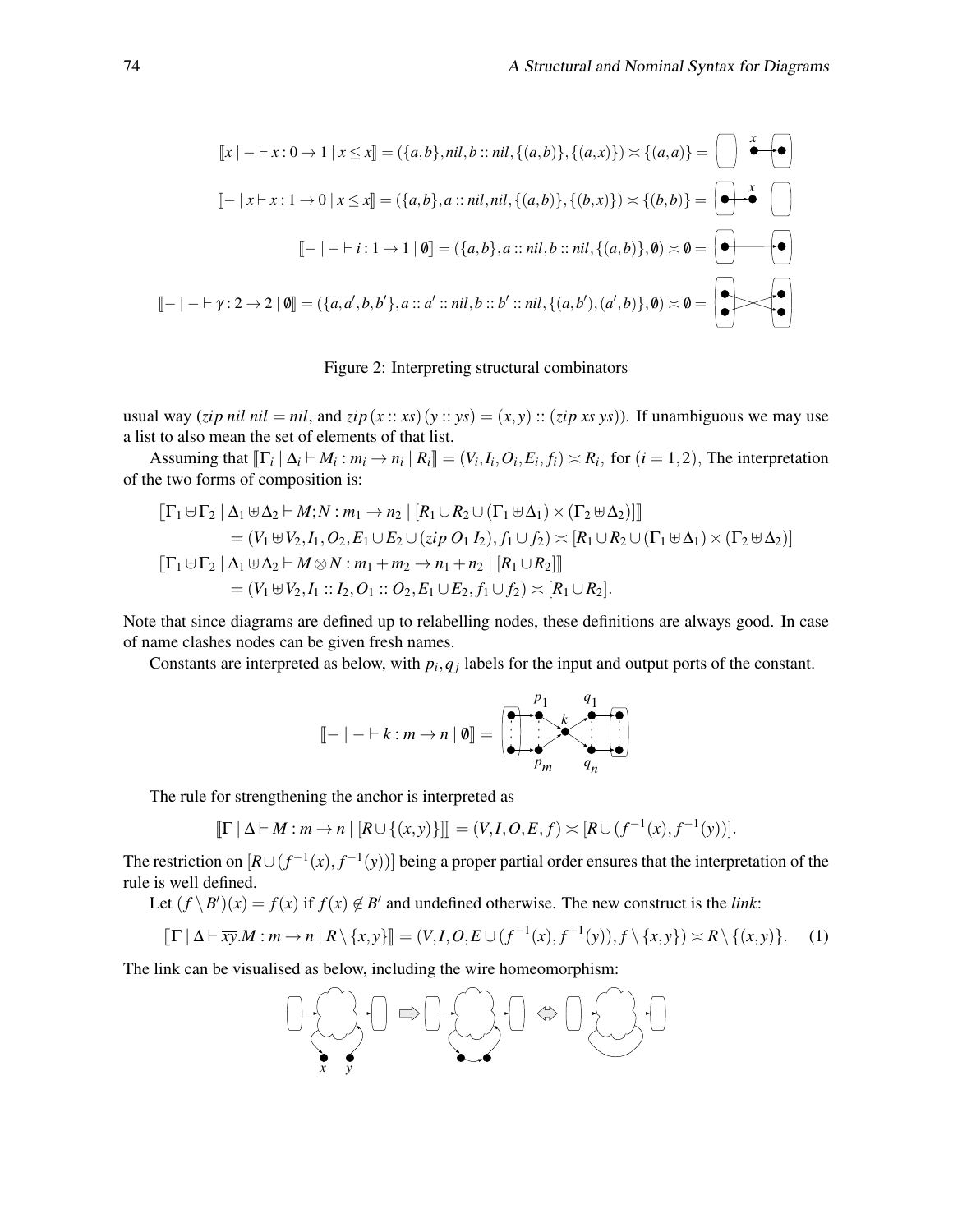$$
[[x] - \vdash x : 0 \to 1 \mid x \le x] = (\{a, b\}, nil, b :: nil, \{(a, b)\}, \{(a, x)\}) \asymp \{(a, a)\} = \bigcup_{a \in A} \bigotimes_{a \in A} \bigotimes_{a \in A} [\{a, b\}, a :: nil, nil, \{(a, b)\}, \{(b, x)\}) \asymp \{(b, b)\} = \bigotimes_{a \in A} \bigotimes_{a \in A} [\{a, b\}, a :: nil, val, \{(a, b)\}, 0) \asymp \emptyset = \bigotimes_{a \in A} [\{a, b\}, a :: nil, b :: nil, \{(a, b)\}, 0) \asymp \emptyset = \bigotimes_{a \in A} [\{a, b\}, a :: all, b :: bl : nil, \{(a, b'), (a', b)\}, 0) \asymp \emptyset = \bigotimes_{a \in A} [\{a, b\}, a :: ml, b :: bl : nil, \{(a, b'), (a', b)\}, 0) \asymp \emptyset = \bigotimes_{a \in A} [\{a, b\}, a :: ml, b :: bl : nil, \{(a, b'), (a', b)\}, 0) \asymp \emptyset = \bigotimes_{a \in A} [\{a, b\}, a :: ml, b :: bl : nil, \{(a, b'), (a', b)\}, 0) \asymp \emptyset = \bigotimes_{a \in A} [\{a, b\}, a :: ml, b :: bl : nil, \{(a, b'), (a', b)\}, 0) \asymp \emptyset = \bigotimes_{a \in A} [\{a, b\}, a :: ml, b :: bl : nil, \{(a, b'), (a', b)\}, 0) \asymp \emptyset = \bigotimes_{a \in A} [\{a, b\}, a :: ml, b :: bl : nil, \{(a, b'), (a', b')\}, 0) \asymp \emptyset = \bigotimes_{a \in A} [\{a, b\}, a :: ml, b :: bl : ml, \{(a, b'), (a', b')\}, 0) \asymp \emptyset = \bigotimes_{a \in A} [\{a, b\}, a :: ml, b :: bl : ml, \{(a, b'), (a', b')\}, 0) \asymp \emptyset = \bigotimes_{a \in A} [\{a, b\}, a :: ml, b :: bl : ml, \{(a, b'), (a', b')\}, 0) \asymp \emptyset = \bigotimes_{a \in A} [\{a, b\}, a :: ml, b :: bl : ml, \{(a, b'), (a', b')\}, 0) \asy
$$

#### <span id="page-4-0"></span>Figure 2: Interpreting structural combinators

usual way (*zip nil nil* = *nil*, and *zip*( $x :: xs$ ) ( $y :: ys$ ) =  $(x, y) :: (zip xs ys)$ ). If unambiguous we may use a list to also mean the set of elements of that list.

Assuming that  $[\![\Gamma_i \mid \Delta_i \vdash M_i : m_i \rightarrow n_i \mid R_i]\!] = (V_i, I_i, O_i, E_i, f_i) \asymp R_i$ , for  $(i = 1, 2)$ , The interpretation of the two forms of composition is:

$$
\begin{aligned}\n\left[\Gamma_1 \boxplus \Gamma_2 \mid \Delta_1 \boxplus \Delta_2 \vdash M; N : m_1 \to n_2 \mid [R_1 \cup R_2 \cup (\Gamma_1 \boxplus \Delta_1) \times (\Gamma_2 \boxplus \Delta_2)]\right] \\
&= (V_1 \boxplus V_2, I_1, O_2, E_1 \cup E_2 \cup (zip O_1 I_2), f_1 \cup f_2) \asymp [R_1 \cup R_2 \cup (\Gamma_1 \boxplus \Delta_1) \times (\Gamma_2 \boxplus \Delta_2)] \\
\left[\Gamma_1 \boxplus \Gamma_2 \mid \Delta_1 \boxplus \Delta_2 \vdash M \otimes N : m_1 + m_2 \to n_1 + n_2 \mid [R_1 \cup R_2]\right] \\
&= (V_1 \boxplus V_2, I_1 :: I_2, O_1 :: O_2, E_1 \cup E_2, f_1 \cup f_2) \asymp [R_1 \cup R_2].\n\end{aligned}
$$

Note that since diagrams are defined up to relabelling nodes, these definitions are always good. In case of name clashes nodes can be given fresh names.

Constants are interpreted as below, with  $p_i, q_j$  labels for the input and output ports of the constant.

<span id="page-4-1"></span>
$$
\llbracket - \mid - \mid k : m \rightarrow n \mid \emptyset \rrbracket = \left( \begin{array}{ccc} p_1 & q_1 \\ \hline \vdots & \ddots & \vdots \\ p_m & q_n \end{array} \right)
$$

The rule for strengthening the anchor is interpreted as

$$
[\![\Gamma \,|\, \Delta \vdash M : m \to n \,|\, [R \cup \{(x,y)\}]] = (V,I,O,E,f) \asymp [R \cup (f^{-1}(x),f^{-1}(y))].
$$

The restriction on  $[R \cup (f^{-1}(x), f^{-1}(y))]$  being a proper partial order ensures that the interpretation of the rule is well defined.

Let  $(f \setminus B')(x) = f(x)$  if  $f(x) \notin B'$  and undefined otherwise. The new construct is the *link*:

$$
\llbracket \Gamma \mid \Delta \vdash \overline{xy}.M : m \to n \mid R \setminus \{x, y\} \rrbracket = (V, I, O, E \cup (f^{-1}(x), f^{-1}(y)), f \setminus \{x, y\}) \asymp R \setminus \{(x, y)\}.
$$
 (1)

The link can be visualised as below, including the wire homeomorphism:

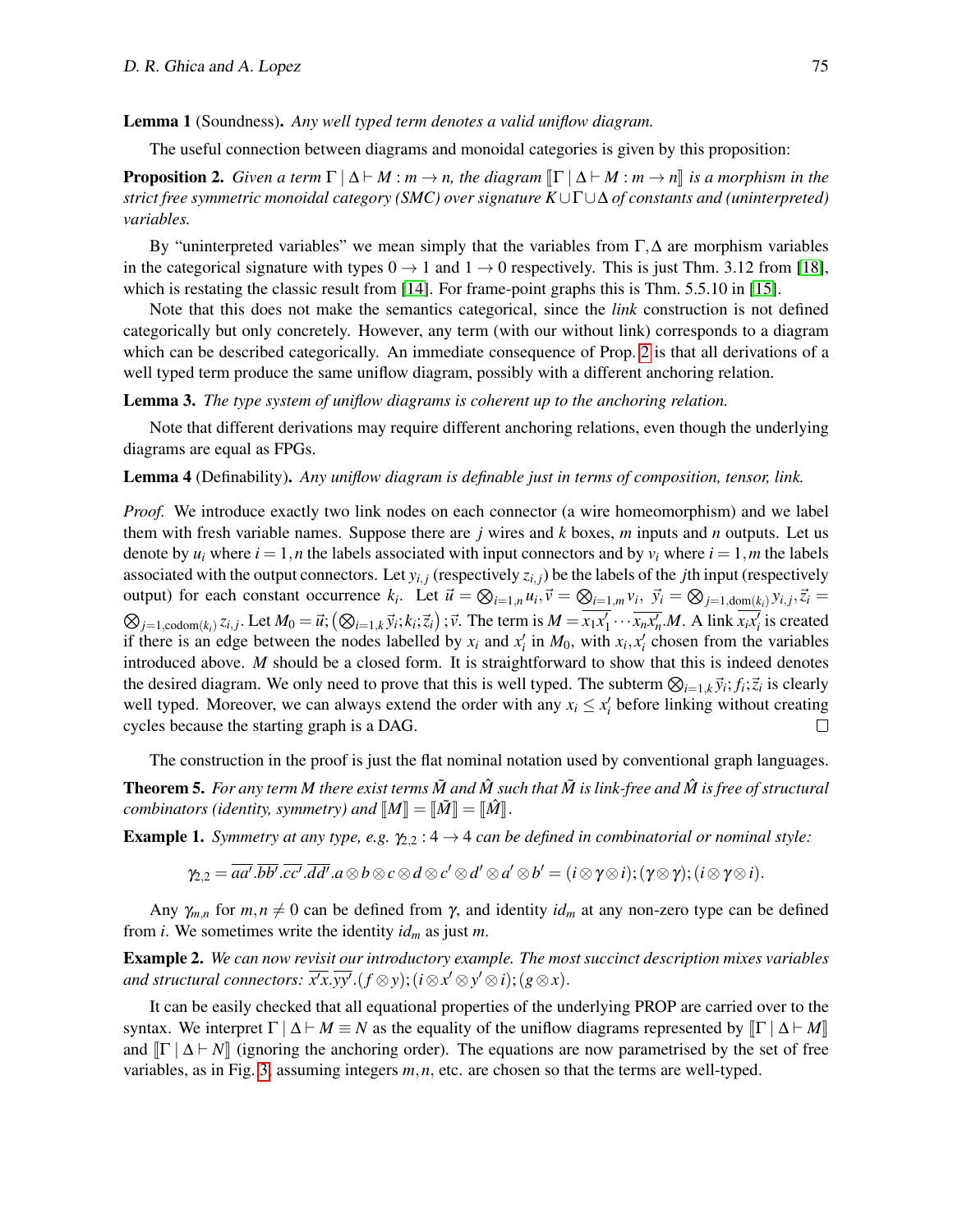Lemma 1 (Soundness). *Any well typed term denotes a valid uniflow diagram.*

The useful connection between diagrams and monoidal categories is given by this proposition:

<span id="page-5-0"></span>**Proposition 2.** *Given a term*  $\Gamma \mid \Delta \vdash M : m \rightarrow n$ , the diagram  $\lVert \Gamma \mid \Delta \vdash M : m \rightarrow n \rVert$  is a morphism in the *strict free symmetric monoidal category (SMC) over signature K*∪Γ∪∆ *of constants and (uninterpreted) variables.*

By "uninterpreted variables" we mean simply that the variables from  $\Gamma$ ,  $\Delta$  are morphism variables in the categorical signature with types  $0 \rightarrow 1$  and  $1 \rightarrow 0$  respectively. This is just Thm. 3.12 from [\[18\]](#page-13-6), which is restating the classic result from [\[14\]](#page-13-1). For frame-point graphs this is Thm. 5.5.10 in [\[15\]](#page-13-8).

Note that this does not make the semantics categorical, since the *link* construction is not defined categorically but only concretely. However, any term (with our without link) corresponds to a diagram which can be described categorically. An immediate consequence of Prop. [2](#page-5-0) is that all derivations of a well typed term produce the same uniflow diagram, possibly with a different anchoring relation.

Lemma 3. *The type system of uniflow diagrams is coherent up to the anchoring relation.*

Note that different derivations may require different anchoring relations, even though the underlying diagrams are equal as FPGs.

<span id="page-5-1"></span>Lemma 4 (Definability). *Any uniflow diagram is definable just in terms of composition, tensor, link.*

*Proof.* We introduce exactly two link nodes on each connector (a wire homeomorphism) and we label them with fresh variable names. Suppose there are *j* wires and *k* boxes, *m* inputs and *n* outputs. Let us denote by  $u_i$  where  $i = 1, n$  the labels associated with input connectors and by  $v_i$  where  $i = 1, m$  the labels associated with the output connectors. Let  $y_{i,j}$  (respectively  $z_{i,j}$ ) be the labels of the *j*th input (respectively output) for each constant occurrence  $k_i$ . Let  $\vec{u} = \bigotimes_{i=1,n} u_i$ ,  $\vec{v} = \bigotimes_{i=1,m} v_i$ ,  $\vec{y}_i = \bigotimes_{j=1,\text{dom}(k_i)} y_{i,j}$ ,  $\vec{z}_i =$  $\otimes_{j=1,\text{codom}(k_i)} z_{i,j}$ . Let  $M_0 = \vec{u}$ ;  $(\otimes_{i=1,k} \vec{y}_i; k_i; \vec{z}_i)$ ;  $\vec{v}$ . The term is  $M = \overline{x_1x_1'} \cdots \overline{x_nx_n'}$ . A link  $\overline{x_ix_i'}$  is created if there is an edge between the nodes labelled by  $x_i$  and  $x'_i$  in  $M_0$ , with  $x_i, x'_i$  chosen from the variables introduced above. *M* should be a closed form. It is straightforward to show that this is indeed denotes the desired diagram. We only need to prove that this is well typed. The subterm  $\otimes_{i=1,k} \vec{y}_i; f_i; \vec{z}_i$  is clearly well typed. Moreover, we can always extend the order with any  $x_i \leq x_i'$  before linking without creating cycles because the starting graph is a DAG.  $\Box$ 

The construction in the proof is just the flat nominal notation used by conventional graph languages. **Theorem 5.** For any term M there exist terms  $\tilde{M}$  and  $\hat{M}$  such that  $\tilde{M}$  is link-free and  $\hat{M}$  is free of structural *combinators (identity, symmetry) and*  $\llbracket M \rrbracket = \llbracket \tilde{M} \rrbracket = \llbracket \hat{M} \rrbracket$ .

**Example 1.** *Symmetry at any type, e.g.*  $\gamma_{2,2}: 4 \rightarrow 4$  *can be defined in combinatorial or nominal style:* 

$$
\gamma_{2,2} = \overline{aa'}. \overline{bb'}. \overline{cc'}. \overline{dd'}. a \otimes b \otimes c \otimes d \otimes c' \otimes d' \otimes a' \otimes b' = (i \otimes \gamma \otimes i); (\gamma \otimes \gamma); (i \otimes \gamma \otimes i).
$$

Any  $\gamma_{m,n}$  for  $m,n \neq 0$  can be defined from  $\gamma$ , and identity  $id_m$  at any non-zero type can be defined from *i*. We sometimes write the identity *id<sup>m</sup>* as just *m*.

Example 2. *We can now revisit our introductory example. The most succinct description mixes variables*  $and$  structural connectors:  $\overline{x'x}.\overline{yy'}.(f \otimes y);(i \otimes x' \otimes y' \otimes i);(g \otimes x).$ 

It can be easily checked that all equational properties of the underlying PROP are carried over to the syntax. We interpret  $\Gamma | \Delta \vdash M \equiv N$  as the equality of the uniflow diagrams represented by  $\lVert \Gamma | \Delta \vdash M \rVert$ and  $\|\Gamma \mid \Delta \vdash N\|$  (ignoring the anchoring order). The equations are now parametrised by the set of free variables, as in Fig. [3,](#page-6-0) assuming integers *m*,*n*, etc. are chosen so that the terms are well-typed.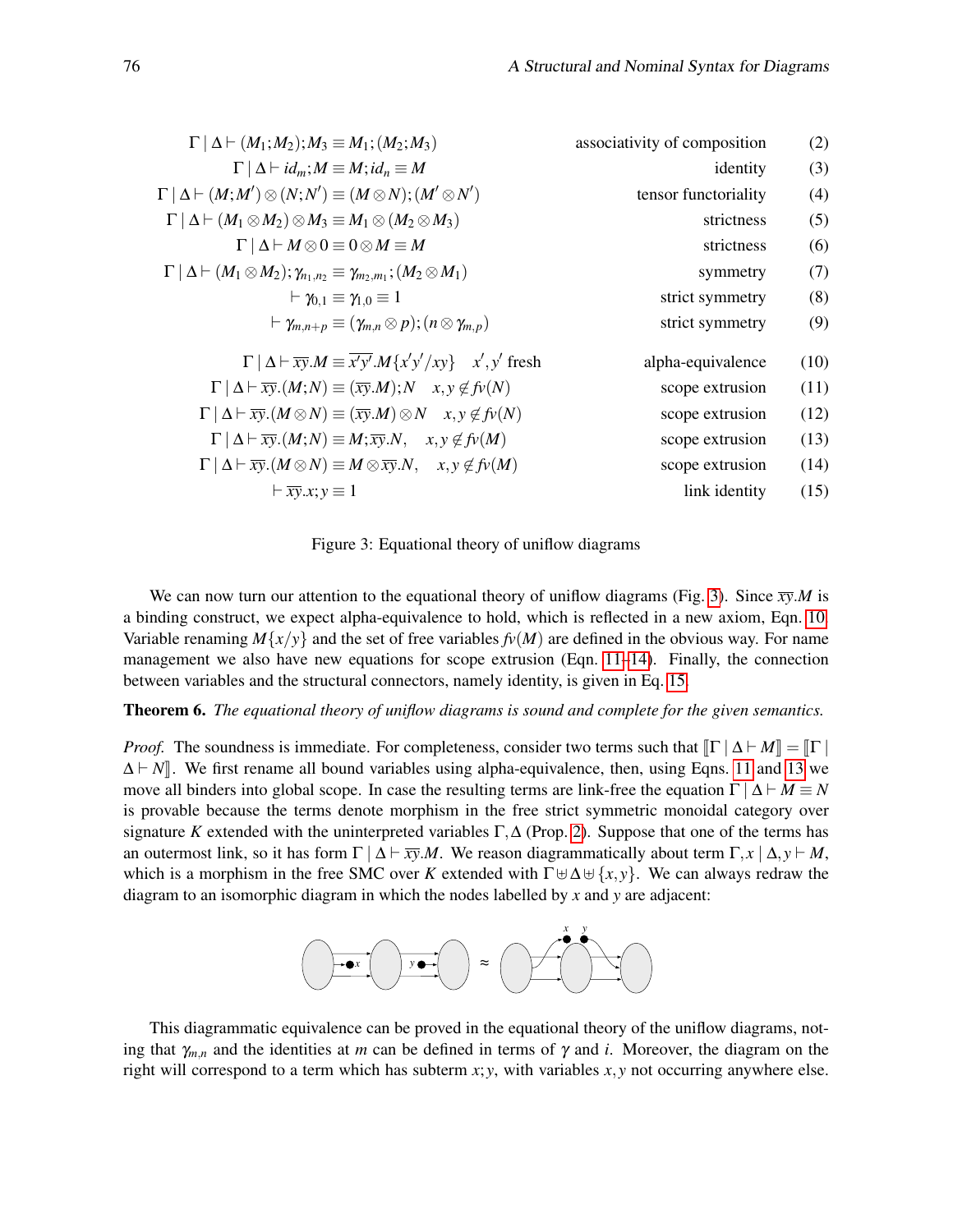| (2)  | associativity of composition | $\Gamma   \Delta \vdash (M_1; M_2); M_3 \equiv M_1; (M_2; M_3)$                                                  |
|------|------------------------------|------------------------------------------------------------------------------------------------------------------|
| (3)  | identity                     | $\Gamma   \Delta \vdash id_m; M \equiv M; id_n \equiv M$                                                         |
| (4)  | tensor functoriality         | $\Gamma   \Delta \vdash (M;M') \otimes (N;N') \equiv (M \otimes N); (M' \otimes N')$                             |
| (5)  | strictness                   | $\Gamma   \Delta \vdash (M_1 \otimes M_2) \otimes M_3 \equiv M_1 \otimes (M_2 \otimes M_3)$                      |
| (6)  | strictness                   | $\Gamma   \Delta   M \otimes 0 \equiv 0 \otimes M \equiv M$                                                      |
| (7)  | symmetry                     | $\Gamma   \Delta \vdash (M_1 \otimes M_2); \gamma_{n_1,n_2} \equiv \gamma_{m_2,m_1}; (M_2 \otimes M_1)$          |
| (8)  | strict symmetry              | $\vdash \gamma_{0.1} \equiv \gamma_{1.0} \equiv 1$                                                               |
| (9)  | strict symmetry              | $\vdash \gamma_{m,n+p} \equiv (\gamma_{m,n} \otimes p); (n \otimes \gamma_{m,p})$                                |
| (10) | alpha-equivalence            | $\Gamma   \Delta \vdash \overline{xy}.M \equiv \overline{x'y'}.M\{x'y'/xy\}$ $x', y'$ fresh                      |
| (11) | scope extrusion              | $\Gamma   \Delta \vdash \overline{xy}.(M;N) \equiv (\overline{xy}.M); N \quad x, y \notin f_V(N)$                |
| (12) | scope extrusion              | $\Gamma   \Delta \vdash \overline{xy}.(M \otimes N) \equiv (\overline{xy}.M) \otimes N \quad x, y \notin f_V(N)$ |
| (13) | scope extrusion              | $\Gamma   \Delta \vdash \overline{xy}.(M;N) \equiv M; \overline{xy}.N, \quad x, y \notin f_V(M)$                 |
| (14) | scope extrusion              | $\Gamma   \Delta \vdash \overline{xy}.(M \otimes N) \equiv M \otimes \overline{xy}.N, \quad x, y \notin f_V(M)$  |
| (15) | link identity                | $\vdash \overline{xy}.x; y \equiv 1$                                                                             |
|      |                              |                                                                                                                  |

<span id="page-6-5"></span><span id="page-6-4"></span><span id="page-6-3"></span><span id="page-6-2"></span><span id="page-6-1"></span><span id="page-6-0"></span>Figure 3: Equational theory of uniflow diagrams

We can now turn our attention to the equational theory of uniflow diagrams (Fig. [3\)](#page-6-0). Since  $\overline{xy}.M$  is a binding construct, we expect alpha-equivalence to hold, which is reflected in a new axiom, Eqn. [10.](#page-6-1) Variable renaming  $M\{x/y\}$  and the set of free variables  $f\nu(M)$  are defined in the obvious way. For name management we also have new equations for scope extrusion (Eqn.  $11-14$ ). Finally, the connection between variables and the structural connectors, namely identity, is given in Eq. [15.](#page-6-4)

Theorem 6. *The equational theory of uniflow diagrams is sound and complete for the given semantics.*

*Proof.* The soundness is immediate. For completeness, consider two terms such that  $\|\Gamma \mid \Delta \vdash M\| = \|\Gamma\|$  $\Delta \vdash N$ . We first rename all bound variables using alpha-equivalence, then, using Eqns. [11](#page-6-2) and [13](#page-6-5) we move all binders into global scope. In case the resulting terms are link-free the equation  $\Gamma | \Delta \vdash M \equiv N$ is provable because the terms denote morphism in the free strict symmetric monoidal category over signature *K* extended with the uninterpreted variables  $\Gamma$ ,  $\Delta$  (Prop. [2\)](#page-5-0). Suppose that one of the terms has an outermost link, so it has form  $\Gamma | \Delta \vdash \overline{xy}.M$ . We reason diagrammatically about term  $\Gamma, x | \Delta, y \vdash M$ , which is a morphism in the free SMC over *K* extended with  $\Gamma \boxplus \Delta \boxplus \{x, y\}$ . We can always redraw the diagram to an isomorphic diagram in which the nodes labelled by *x* and *y* are adjacent:



This diagrammatic equivalence can be proved in the equational theory of the uniflow diagrams, noting that  $\gamma_{m,n}$  and the identities at *m* can be defined in terms of  $\gamma$  and *i*. Moreover, the diagram on the right will correspond to a term which has subterm  $x$ ;  $y$ , with variables  $x$ ,  $y$  not occurring anywhere else.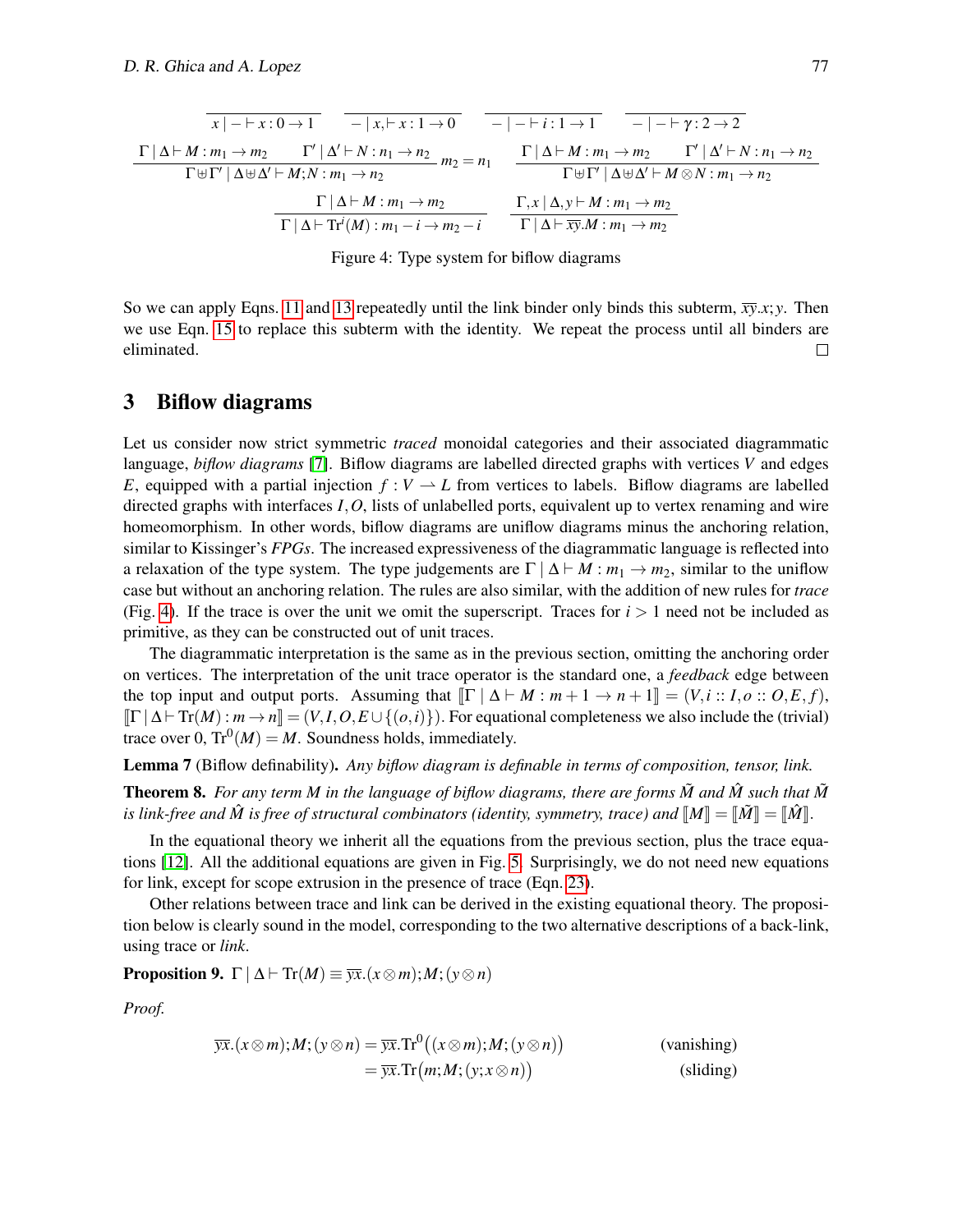$$
\frac{\Gamma|\Delta \vdash M: m_1 \to m_2 \qquad \Gamma'|\Delta' \vdash N: n_1 \to n_2}{\Gamma|\Delta \vdash M: m_1 \to m_2 \qquad \Gamma'|\Delta' \vdash N: n_1 \to n_2} m_2 = n_1 \qquad \frac{\Gamma|\Delta \vdash M: m_1 \to m_2 \qquad \Gamma'|\Delta' \vdash N: n_1 \to n_2}{\Gamma \uplus \Gamma'|\Delta \uplus \Delta' \vdash M; N: m_1 \to n_2} m_2 = n_1 \qquad \frac{\Gamma|\Delta \vdash M: m_1 \to m_2 \qquad \Gamma'|\Delta' \vdash N: n_1 \to n_2}{\Gamma \uplus \Gamma'|\Delta \uplus \Delta' \vdash M \otimes N: m_1 \to n_2}
$$
\n
$$
\frac{\Gamma|\Delta \vdash M: m_1 \to m_2}{\Gamma|\Delta \vdash \text{Tr}'(M): m_1 \to m_2 \to i} \qquad \frac{\Gamma, x \mid \Delta, y \vdash M: m_1 \to m_2}{\Gamma|\Delta \vdash \overline{xy}.M: m_1 \to m_2}
$$

<span id="page-7-0"></span>Figure 4: Type system for biflow diagrams

So we can apply Eqns. [11](#page-6-2) and [13](#page-6-5) repeatedly until the link binder only binds this subterm,  $\overline{xy}.x; y$ . Then we use Eqn. [15](#page-6-4) to replace this subterm with the identity. We repeat the process until all binders are eliminated.  $\Box$ 

### 3 Biflow diagrams

Let us consider now strict symmetric *traced* monoidal categories and their associated diagrammatic language, *biflow diagrams* [\[7\]](#page-13-9). Biflow diagrams are labelled directed graphs with vertices *V* and edges *E*, equipped with a partial injection  $f: V \to L$  from vertices to labels. Biflow diagrams are labelled directed graphs with interfaces *I*,*O*, lists of unlabelled ports, equivalent up to vertex renaming and wire homeomorphism. In other words, biflow diagrams are uniflow diagrams minus the anchoring relation, similar to Kissinger's *FPGs*. The increased expressiveness of the diagrammatic language is reflected into a relaxation of the type system. The type judgements are  $\Gamma \mid \Delta \vdash M : m_1 \rightarrow m_2$ , similar to the uniflow case but without an anchoring relation. The rules are also similar, with the addition of new rules for *trace* (Fig. [4\)](#page-7-0). If the trace is over the unit we omit the superscript. Traces for  $i > 1$  need not be included as primitive, as they can be constructed out of unit traces.

The diagrammatic interpretation is the same as in the previous section, omitting the anchoring order on vertices. The interpretation of the unit trace operator is the standard one, a *feedback* edge between the top input and output ports. Assuming that  $\llbracket \Gamma \mid \Delta \vdash M : m + 1 \to n + 1 \rrbracket = (V, i : I, o : O, E, f)$ ,  $\left[\Gamma \mid \Delta \vdash \mathrm{Tr}(M) : m \to n\right] = (V, I, O, E \cup \{(o, i)\})$ . For equational completeness we also include the (trivial) trace over 0,  $\text{Tr}^0(M) = M$ . Soundness holds, immediately.

Lemma 7 (Biflow definability). *Any biflow diagram is definable in terms of composition, tensor, link.*

**Theorem 8.** For any term M in the language of biflow diagrams, there are forms  $\tilde{M}$  and  $\tilde{M}$  such that  $\tilde{M}$ *is link-free and*  $\hat{M}$  *is free of structural combinators (identity, symmetry, trace) and*  $\llbracket M \rrbracket = \llbracket \hat{M} \rrbracket = \llbracket \hat{M} \rrbracket$ .

In the equational theory we inherit all the equations from the previous section, plus the trace equations [\[12\]](#page-13-10). All the additional equations are given in Fig. [5.](#page-8-0) Surprisingly, we do not need new equations for link, except for scope extrusion in the presence of trace (Eqn. [23\)](#page-8-1).

Other relations between trace and link can be derived in the existing equational theory. The proposition below is clearly sound in the model, corresponding to the two alternative descriptions of a back-link, using trace or *link*.

**Proposition 9.**  $\Gamma | \Delta \vdash \text{Tr}(M) \equiv \overline{\mathbf{y}x}.(x \otimes m); M; (y \otimes n)$ 

*Proof.*

$$
\overline{yx}.(x \otimes m);M; (y \otimes n) = \overline{yx}. \text{Tr}^{0}((x \otimes m);M; (y \otimes n))
$$
\n
$$
= \overline{yx}. \text{Tr}(m;M; (y; x \otimes n))
$$
\n(sliding)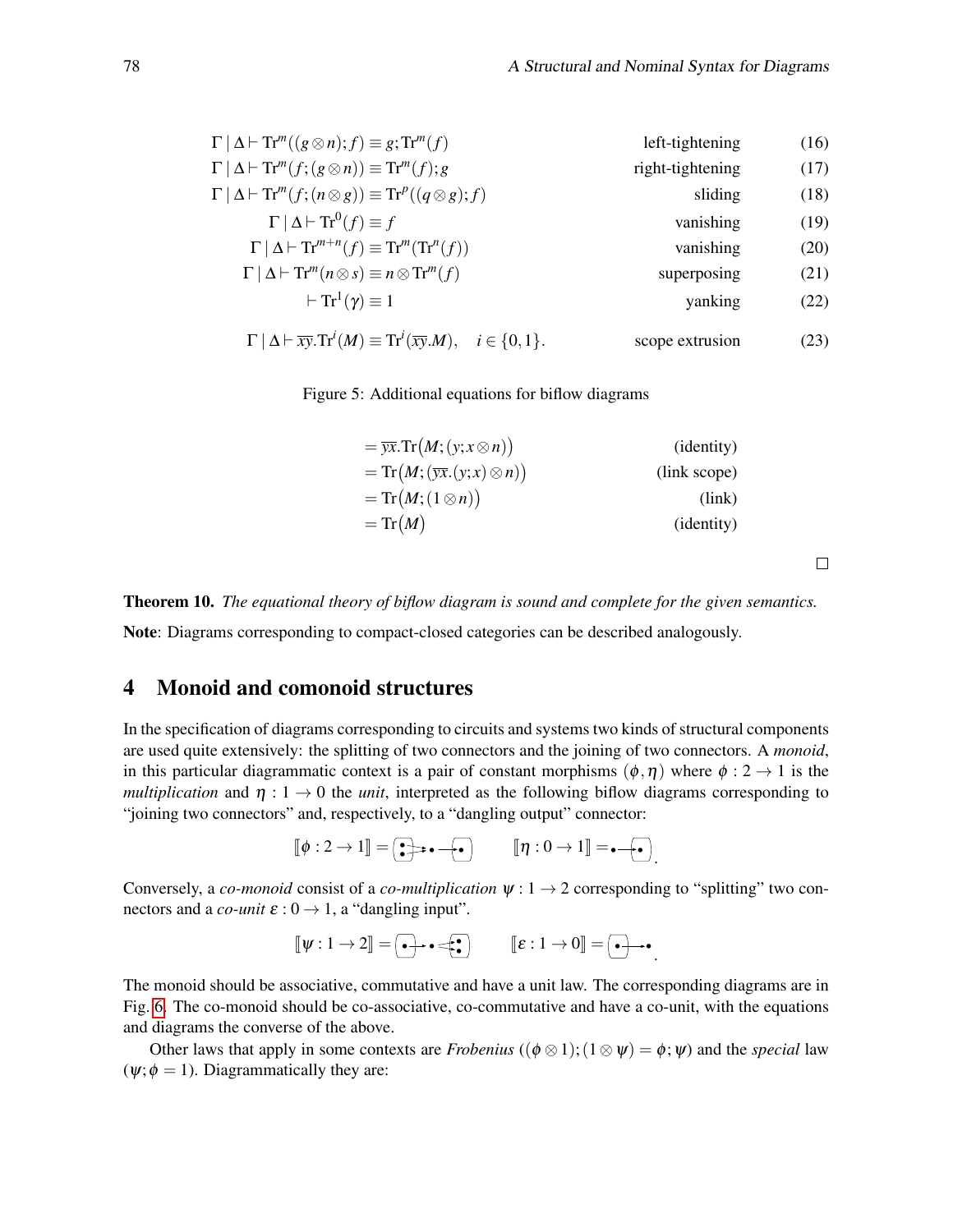| $\Gamma \mid \Delta \vdash \text{Tr}^m((g \otimes n); f) \equiv g; \text{Tr}^m(f)$                               | left-tightening  |      |  |
|------------------------------------------------------------------------------------------------------------------|------------------|------|--|
| $\Gamma \mid \Delta \vdash \text{Tr}^m(f; (g \otimes n)) \equiv \text{Tr}^m(f); g$                               | right-tightening | (17) |  |
| $\Gamma   \Delta \vdash \text{Tr}^m(f; (n \otimes g)) \equiv \text{Tr}^p((q \otimes g); f)$                      | sliding          | (18) |  |
| $\Gamma   \Delta  $ $\text{Tr}^{0}(f) \equiv f$                                                                  | vanishing        | (19) |  |
| $\Gamma   \Delta \vdash \mathrm{Tr}^{m+n}(f) \equiv \mathrm{Tr}^{m}(\mathrm{Tr}^{n}(f))$                         | vanishing        | (20) |  |
| $\Gamma \mid \Delta \vdash \text{Tr}^m(n \otimes s) \equiv n \otimes \text{Tr}^m(f)$                             | superposing      | (21) |  |
| $\vdash$ Tr <sup>1</sup> $(\gamma) \equiv 1$                                                                     | yanking          | (22) |  |
| $\Gamma   \Delta \vdash \overline{xy}. \text{Tr}^i(M) \equiv \text{Tr}^i(\overline{xy}.M), \quad i \in \{0,1\}.$ | scope extrusion  | (23) |  |

Figure 5: Additional equations for biflow diagrams

<span id="page-8-0"></span>

| $= \overline{yx}.\operatorname{Tr}(M;(y;x\otimes n))$ | ( <i>identity</i> ) |
|-------------------------------------------------------|---------------------|
| $=Tr(M;(\overline{yx}.(y;x)\otimes n))$               | (link scope)        |
| $=Tr(M;(1\otimes n))$                                 | (link)              |
| $=Tr(M)$                                              | ( <i>identity</i> ) |
|                                                       |                     |

Theorem 10. *The equational theory of biflow diagram is sound and complete for the given semantics.*

Note: Diagrams corresponding to compact-closed categories can be described analogously.

# 4 Monoid and comonoid structures

In the specification of diagrams corresponding to circuits and systems two kinds of structural components are used quite extensively: the splitting of two connectors and the joining of two connectors. A *monoid*, in this particular diagrammatic context is a pair of constant morphisms  $(\phi, \eta)$  where  $\phi : 2 \to 1$  is the *multiplication* and  $\eta: 1 \to 0$  the *unit*, interpreted as the following biflow diagrams corresponding to "joining two connectors" and, respectively, to a "dangling output" connector:

$$
\llbracket \phi : 2 \to 1 \rrbracket = \boxed{\bullet} \Rightarrow \bullet - \boxed{\bullet} \qquad \llbracket \eta : 0 \to 1 \rrbracket = \bullet - \boxed{\bullet}.
$$

Conversely, a *co-monoid* consist of a *co-multiplication*  $\psi: 1 \rightarrow 2$  corresponding to "splitting" two connectors and a *co-unit*  $\varepsilon$  :  $0 \rightarrow 1$ , a "dangling input".

$$
\llbracket \psi : 1 \to 2 \rrbracket = \boxed{\bullet} \rightarrow \bullet \Longleftrightarrow \boxed{\bullet} \qquad \llbracket \varepsilon : 1 \to 0 \rrbracket = \boxed{\bullet} \rightarrow \bullet
$$

.

<span id="page-8-1"></span> $\Box$ 

The monoid should be associative, commutative and have a unit law. The corresponding diagrams are in Fig. [6.](#page-9-0) The co-monoid should be co-associative, co-commutative and have a co-unit, with the equations and diagrams the converse of the above.

Other laws that apply in some contexts are *Frobenius* (( $\phi \otimes 1$ ); ( $1 \otimes \psi$ ) =  $\phi$ ;  $\psi$ ) and the *special* law  $(\psi; \phi = 1)$ . Diagrammatically they are: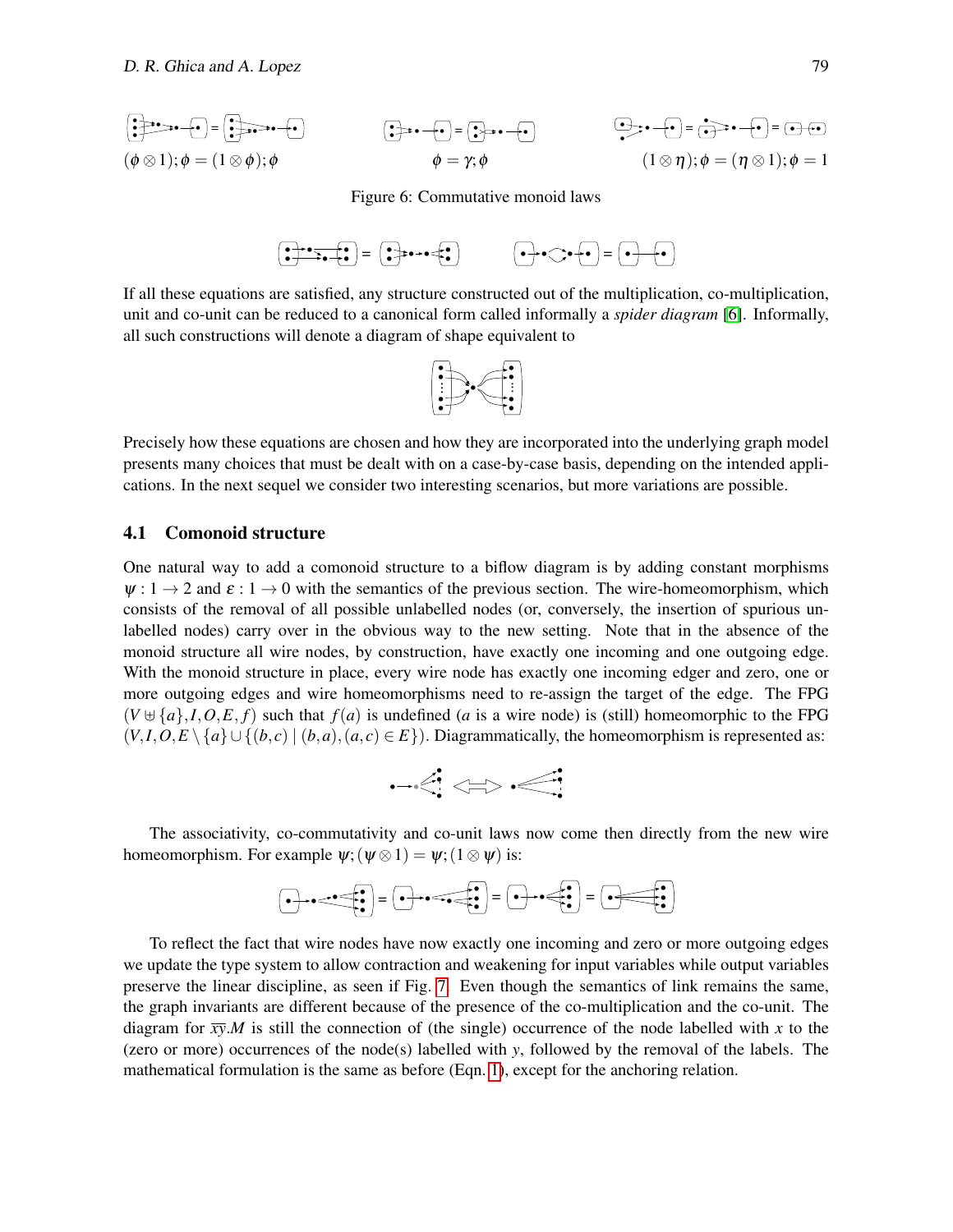$$
\begin{aligned}\n\begin{aligned}\n\begin{pmatrix}\n\frac{1}{2} & \frac{1}{2} \cos \theta + \mathbf{e} \end{pmatrix} &= \begin{pmatrix}\n\frac{1}{2} \cos \theta + \mathbf{e} \end{pmatrix} \\
(\phi \otimes 1); \phi &= (1 \otimes \phi); \phi\n\end{aligned}\n\qquad\n\begin{aligned}\n\begin{aligned}\n\begin{pmatrix}\n\frac{1}{2} \cos \theta + \mathbf{e} \end{pmatrix} &= \begin{pmatrix}\n\frac{1}{2} \cos \theta + \mathbf{e} \end{pmatrix} \\
\phi &= \gamma; \phi\n\end{aligned}\n\qquad\n\begin{aligned}\n(1 \otimes \eta); \phi &= (\eta \otimes 1); \phi = 1\n\end{aligned}\n\end{aligned}
$$

<span id="page-9-0"></span>Figure 6: Commutative monoid laws



If all these equations are satisfied, any structure constructed out of the multiplication, co-multiplication, unit and co-unit can be reduced to a canonical form called informally a *spider diagram* [\[6\]](#page-13-11). Informally, all such constructions will denote a diagram of shape equivalent to



Precisely how these equations are chosen and how they are incorporated into the underlying graph model presents many choices that must be dealt with on a case-by-case basis, depending on the intended applications. In the next sequel we consider two interesting scenarios, but more variations are possible.

#### 4.1 Comonoid structure

One natural way to add a comonoid structure to a biflow diagram is by adding constant morphisms  $\psi: 1 \to 2$  and  $\varepsilon: 1 \to 0$  with the semantics of the previous section. The wire-homeomorphism, which consists of the removal of all possible unlabelled nodes (or, conversely, the insertion of spurious unlabelled nodes) carry over in the obvious way to the new setting. Note that in the absence of the monoid structure all wire nodes, by construction, have exactly one incoming and one outgoing edge. With the monoid structure in place, every wire node has exactly one incoming edger and zero, one or more outgoing edges and wire homeomorphisms need to re-assign the target of the edge. The FPG  $(V \oplus \{a\}, I, O, E, f)$  such that  $f(a)$  is undefined (*a* is a wire node) is (still) homeomorphic to the FPG  $(V, I, O, E \setminus \{a\} \cup \{(b, c) \mid (b, a), (a, c) \in E\})$ . Diagrammatically, the homeomorphism is represented as:

$$
\neg\triangleleft\Leftrightarrow\text{}
$$

The associativity, co-commutativity and co-unit laws now come then directly from the new wire homeomorphism. For example  $\psi$ ; ( $\psi \otimes 1$ ) =  $\psi$ ; ( $1 \otimes \psi$ ) is:

● ● ● ● ● ● <sup>=</sup> ● ● ● ● ● ● <sup>=</sup> ● ● ● ● ● <sup>=</sup> ● ● ● ●

To reflect the fact that wire nodes have now exactly one incoming and zero or more outgoing edges we update the type system to allow contraction and weakening for input variables while output variables preserve the linear discipline, as seen if Fig. [7.](#page-10-0) Even though the semantics of link remains the same, the graph invariants are different because of the presence of the co-multiplication and the co-unit. The diagram for  $\overline{xy}$ .*M* is still the connection of (the single) occurrence of the node labelled with *x* to the (zero or more) occurrences of the node(s) labelled with *y*, followed by the removal of the labels. The mathematical formulation is the same as before (Eqn. [1\)](#page-4-1), except for the anchoring relation.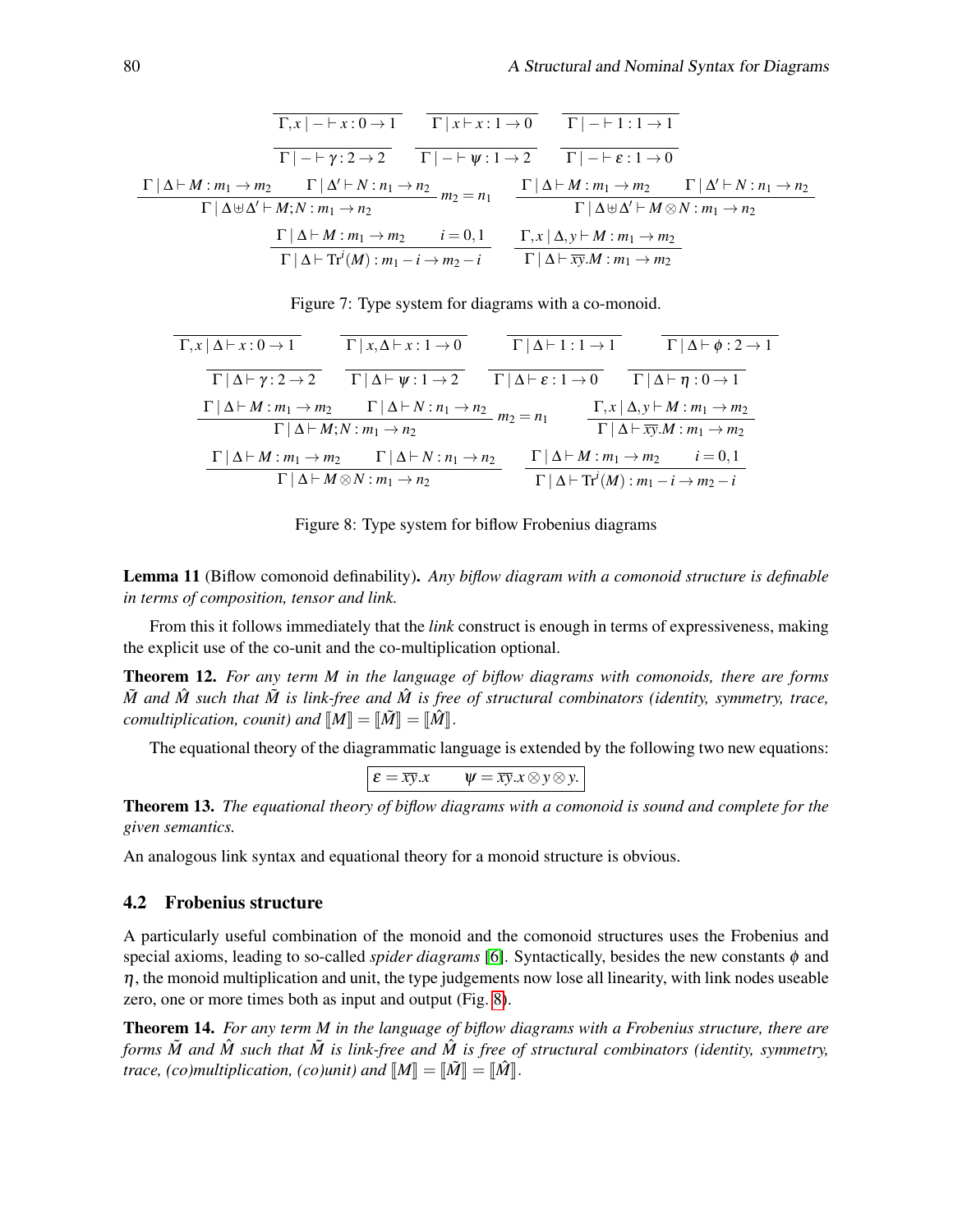$$
\frac{\Gamma | \Delta \vdash M : m_1 \rightarrow m_2 \qquad \Gamma | \Delta \vdash N : n_1 \rightarrow n_2}{\Gamma | - \vdash \gamma : 2 \rightarrow 2} \qquad \frac{\Gamma | - \vdash \psi : 1 \rightarrow 0}{\Gamma | - \vdash \psi : 1 \rightarrow 2} \qquad \frac{\Gamma | - \vdash 1 : 1 \rightarrow 1}{\Gamma | - \vdash \varepsilon : 1 \rightarrow 0}
$$
\n
$$
\frac{\Gamma | \Delta \vdash M : m_1 \rightarrow m_2 \qquad \Gamma | \Delta' \vdash N : n_1 \rightarrow n_2}{\Gamma | \Delta \uplus \Delta' \vdash M; N : m_1 \rightarrow n_2} \qquad m_2 = n_1 \qquad \frac{\Gamma | \Delta \vdash M : m_1 \rightarrow m_2 \qquad \Gamma | \Delta' \vdash N : n_1 \rightarrow n_2}{\Gamma | \Delta \uplus \Delta' \vdash M \otimes N : m_1 \rightarrow n_2}
$$
\n
$$
\frac{\Gamma | \Delta \vdash M : m_1 \rightarrow m_2 \qquad i = 0, 1}{\Gamma | \Delta \vdash \overline{x} \vdash M : m_1 \rightarrow m_2}
$$
\n
$$
\frac{\Gamma | \Delta \vdash \Gamma |^{i}(M) : m_1 - i \rightarrow m_2 - i}{\Gamma | \Delta \vdash \overline{x} \vdash M : m_1 \rightarrow m_2}
$$

<span id="page-10-0"></span>Figure 7: Type system for diagrams with a co-monoid.

| $\Gamma, x \mid \Delta \vdash x : 0 \rightarrow 1$  | $\Gamma   x, \Delta \vdash x : 1 \rightarrow 0$                                                                                                                         | $\Gamma   \Delta \vdash 1 : 1 \rightarrow 1$   |                                                                         | $\Gamma   \Delta \vdash \phi : 2 \rightarrow 1$                                                                             |
|-----------------------------------------------------|-------------------------------------------------------------------------------------------------------------------------------------------------------------------------|------------------------------------------------|-------------------------------------------------------------------------|-----------------------------------------------------------------------------------------------------------------------------|
| $\Gamma   \Delta \vdash \gamma : 2 \rightarrow 2$   | $\Gamma   \Delta \vdash \psi : 1 \rightarrow 2$                                                                                                                         | $\Gamma   \Delta \vdash \varepsilon : 1 \to 0$ |                                                                         | $\Gamma   \Delta \vdash \eta : 0 \rightarrow 1$                                                                             |
|                                                     | $\Gamma   \Delta \vdash M : m_1 \rightarrow m_2$ $\Gamma   \Delta \vdash N : n_1 \rightarrow n_2$ $m_2 = n_1$<br>$\Gamma \mid \Delta \vdash M; N : m_1 \rightarrow n_2$ |                                                |                                                                         | $\Gamma, x \mid \Delta, y \vdash M : m_1 \rightarrow m_2$<br>$\Gamma   \Delta \vdash \overline{xy}.M : m_1 \rightarrow m_2$ |
| $\Gamma \mid \Delta \vdash M : m_1 \rightarrow m_2$ | $\Gamma \mid \Delta \vdash N : n_1 \rightarrow n_2$                                                                                                                     |                                                | $\Gamma \mid \Delta \vdash M : m_1 \rightarrow m_2$                     | $i=0,1$                                                                                                                     |
|                                                     | $\Gamma   \Delta \vdash M \otimes N : m_1 \rightarrow n_2$                                                                                                              |                                                | $\Gamma   \Delta \vdash \text{Tr}^{i}(M) : m_1 - i \rightarrow m_2 - i$ |                                                                                                                             |

<span id="page-10-1"></span>Figure 8: Type system for biflow Frobenius diagrams

Lemma 11 (Biflow comonoid definability). *Any biflow diagram with a comonoid structure is definable in terms of composition, tensor and link.*

From this it follows immediately that the *link* construct is enough in terms of expressiveness, making the explicit use of the co-unit and the co-multiplication optional.

Theorem 12. *For any term M in the language of biflow diagrams with comonoids, there are forms*  $\tilde{M}$  and  $\tilde{M}$  *such that*  $\tilde{M}$  *is link-free and*  $\tilde{M}$  *is free of structural combinators (identity, symmetry, trace, comultiplication, counit) and*  $M = \lbrack \tilde{M} \rbrack = \lbrack \tilde{M} \rbrack$ .

The equational theory of the diagrammatic language is extended by the following two new equations:

$$
\varepsilon = \overline{xy}.x \qquad \psi = \overline{xy}.x \otimes y \otimes y.
$$

Theorem 13. *The equational theory of biflow diagrams with a comonoid is sound and complete for the given semantics.*

An analogous link syntax and equational theory for a monoid structure is obvious.

#### 4.2 Frobenius structure

A particularly useful combination of the monoid and the comonoid structures uses the Frobenius and special axioms, leading to so-called *spider diagrams* [\[6\]](#page-13-11). Syntactically, besides the new constants  $\phi$  and  $\eta$ , the monoid multiplication and unit, the type judgements now lose all linearity, with link nodes useable zero, one or more times both as input and output (Fig. [8\)](#page-10-1).

Theorem 14. *For any term M in the language of biflow diagrams with a Frobenius structure, there are forms*  $\tilde{M}$  *and*  $\tilde{M}$  *such that*  $\tilde{M}$  *is link-free and*  $\tilde{M}$  *is free of structural combinators (identity, symmetry, trace, (co)multiplication, (co)unit) and*  $M = \tilde{M} = \tilde{M}$ .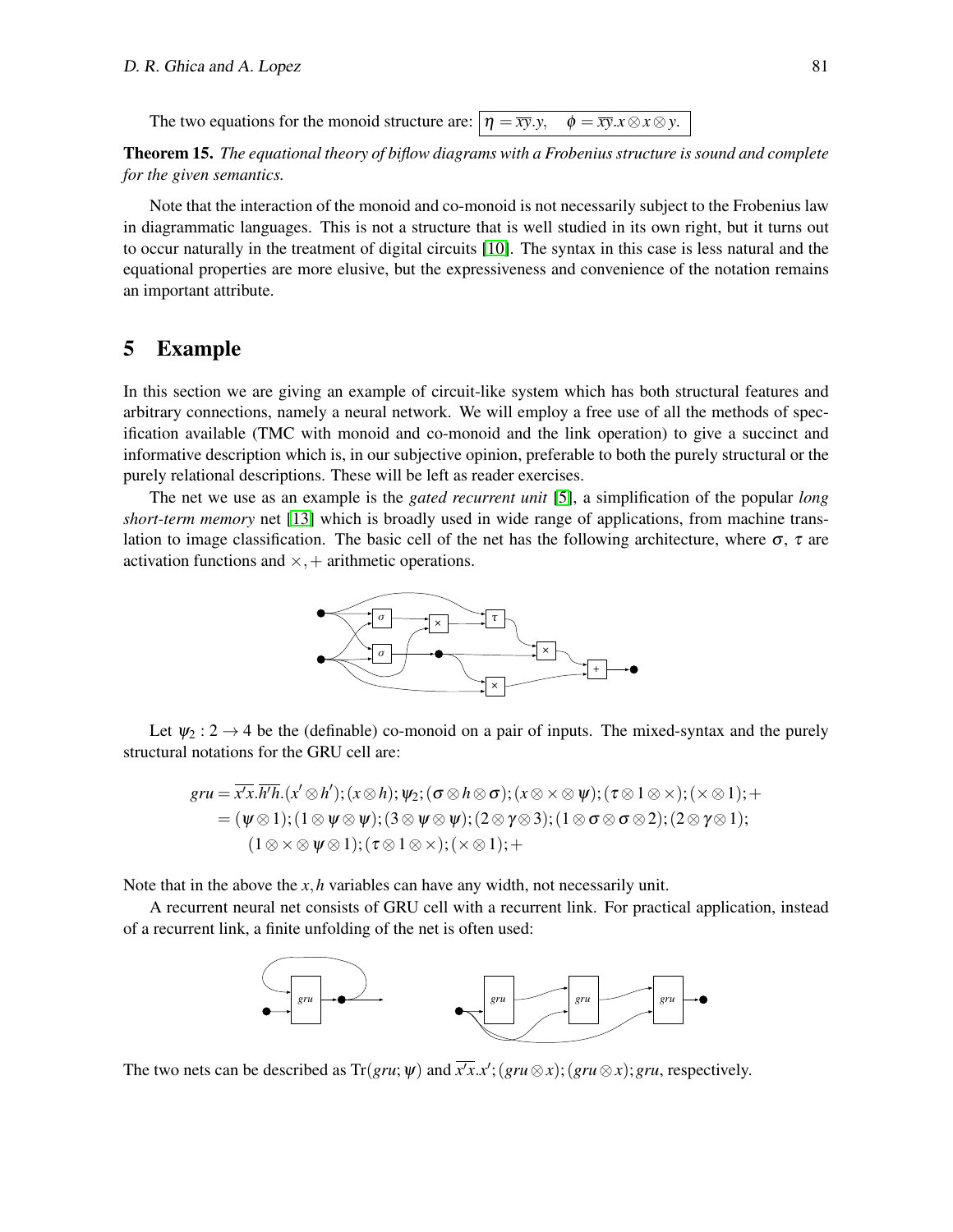The two equations for the monoid structure are:  $|\eta = \overline{xy}.y$ ,  $\phi = \overline{xy}.x \otimes x \otimes y$ .

Theorem 15. *The equational theory of biflow diagrams with a Frobenius structure is sound and complete for the given semantics.*

Note that the interaction of the monoid and co-monoid is not necessarily subject to the Frobenius law in diagrammatic languages. This is not a structure that is well studied in its own right, but it turns out to occur naturally in the treatment of digital circuits [\[10\]](#page-13-12). The syntax in this case is less natural and the equational properties are more elusive, but the expressiveness and convenience of the notation remains an important attribute.

# 5 Example

In this section we are giving an example of circuit-like system which has both structural features and arbitrary connections, namely a neural network. We will employ a free use of all the methods of specification available (TMC with monoid and co-monoid and the link operation) to give a succinct and informative description which is, in our subjective opinion, preferable to both the purely structural or the purely relational descriptions. These will be left as reader exercises.

The net we use as an example is the *gated recurrent unit* [\[5\]](#page-13-13), a simplification of the popular *long short-term memory* net [\[13\]](#page-13-14) which is broadly used in wide range of applications, from machine translation to image classification. The basic cell of the net has the following architecture, where  $\sigma$ ,  $\tau$  are activation functions and  $\times$ , + arithmetic operations.



Let  $\psi_2$  :  $2 \rightarrow 4$  be the (definable) co-monoid on a pair of inputs. The mixed-syntax and the purely structural notations for the GRU cell are:

$$
gru = \overline{x'x}.\overline{h'h}.(x' \otimes h'); (x \otimes h); \psi_2; (\sigma \otimes h \otimes \sigma); (x \otimes \times \otimes \psi); (\tau \otimes 1 \otimes \times); (\times \otimes 1); +
$$
  
= (\psi \otimes 1); (1 \otimes \psi \otimes \psi); (3 \otimes \psi \otimes \psi); (2 \otimes \gamma \otimes 3); (1 \otimes \sigma \otimes \sigma \otimes 2); (2 \otimes \gamma \otimes 1);  
(1 \otimes \times \otimes \psi \otimes 1); (\tau \otimes 1 \otimes \times); (\times \otimes 1); +

Note that in the above the *x*,*h* variables can have any width, not necessarily unit.

A recurrent neural net consists of GRU cell with a recurrent link. For practical application, instead of a recurrent link, a finite unfolding of the net is often used:



The two nets can be described as  $Tr(gru; \psi)$  and  $\overline{x'x}.x';(gru \otimes x);(gru \otimes x);gru$ , respectively.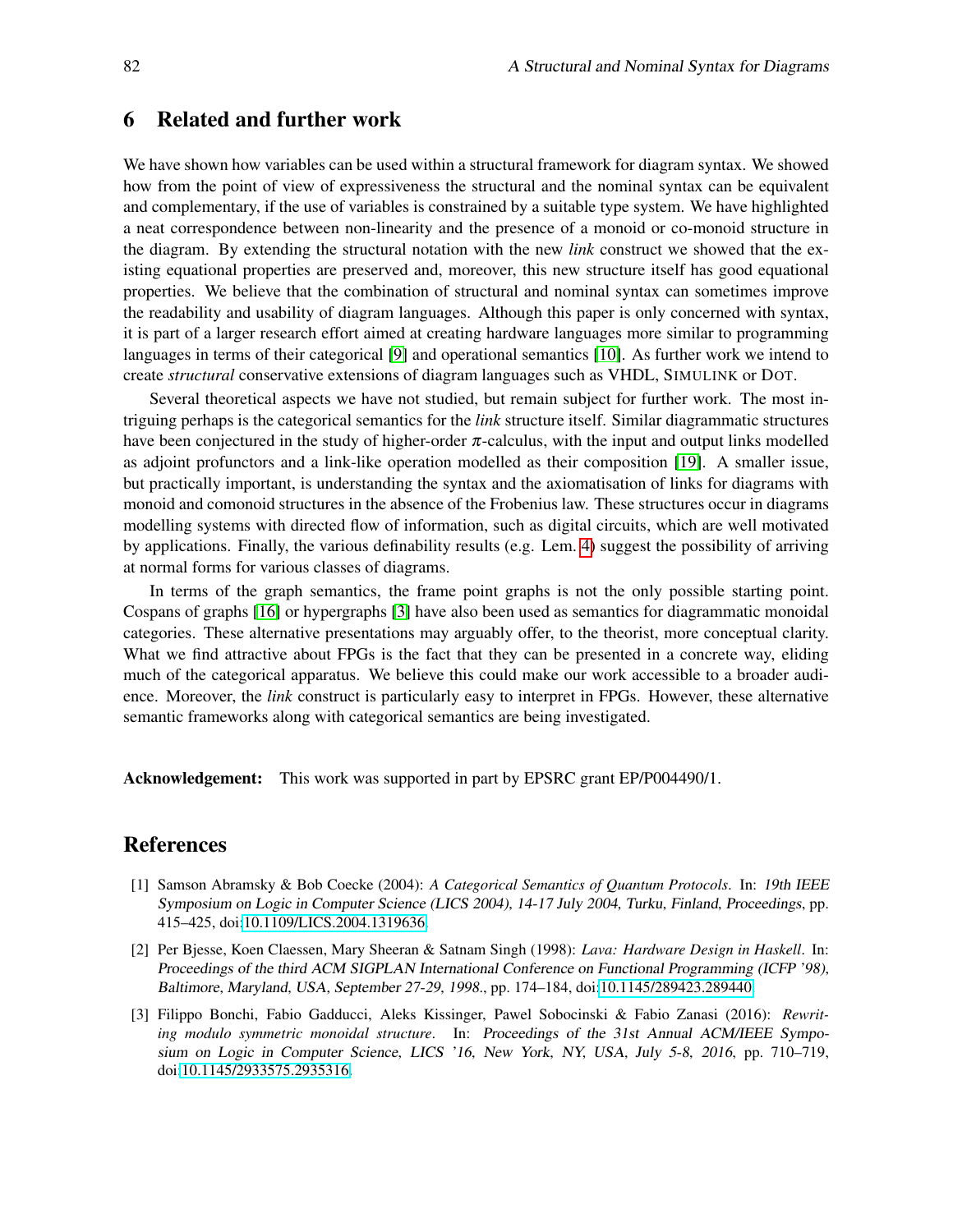# 6 Related and further work

We have shown how variables can be used within a structural framework for diagram syntax. We showed how from the point of view of expressiveness the structural and the nominal syntax can be equivalent and complementary, if the use of variables is constrained by a suitable type system. We have highlighted a neat correspondence between non-linearity and the presence of a monoid or co-monoid structure in the diagram. By extending the structural notation with the new *link* construct we showed that the existing equational properties are preserved and, moreover, this new structure itself has good equational properties. We believe that the combination of structural and nominal syntax can sometimes improve the readability and usability of diagram languages. Although this paper is only concerned with syntax, it is part of a larger research effort aimed at creating hardware languages more similar to programming languages in terms of their categorical [\[9\]](#page-13-4) and operational semantics [\[10\]](#page-13-12). As further work we intend to create *structural* conservative extensions of diagram languages such as VHDL, SIMULINK or DOT.

Several theoretical aspects we have not studied, but remain subject for further work. The most intriguing perhaps is the categorical semantics for the *link* structure itself. Similar diagrammatic structures have been conjectured in the study of higher-order  $\pi$ -calculus, with the input and output links modelled as adjoint profunctors and a link-like operation modelled as their composition [\[19\]](#page-13-15). A smaller issue, but practically important, is understanding the syntax and the axiomatisation of links for diagrams with monoid and comonoid structures in the absence of the Frobenius law. These structures occur in diagrams modelling systems with directed flow of information, such as digital circuits, which are well motivated by applications. Finally, the various definability results (e.g. Lem. [4\)](#page-5-1) suggest the possibility of arriving at normal forms for various classes of diagrams.

In terms of the graph semantics, the frame point graphs is not the only possible starting point. Cospans of graphs [\[16\]](#page-13-16) or hypergraphs [\[3\]](#page-12-2) have also been used as semantics for diagrammatic monoidal categories. These alternative presentations may arguably offer, to the theorist, more conceptual clarity. What we find attractive about FPGs is the fact that they can be presented in a concrete way, eliding much of the categorical apparatus. We believe this could make our work accessible to a broader audience. Moreover, the *link* construct is particularly easy to interpret in FPGs. However, these alternative semantic frameworks along with categorical semantics are being investigated.

Acknowledgement: This work was supported in part by EPSRC grant EP/P004490/1.

# References

- <span id="page-12-0"></span>[1] Samson Abramsky & Bob Coecke (2004): *A Categorical Semantics of Quantum Protocols*. In: 19th IEEE Symposium on Logic in Computer Science (LICS 2004), 14-17 July 2004, Turku, Finland, Proceedings, pp. 415–425, doi[:10.1109/LICS.2004.1319636.](http://dx.doi.org/10.1109/LICS.2004.1319636)
- <span id="page-12-1"></span>[2] Per Bjesse, Koen Claessen, Mary Sheeran & Satnam Singh (1998): *Lava: Hardware Design in Haskell*. In: Proceedings of the third ACM SIGPLAN International Conference on Functional Programming (ICFP '98), Baltimore, Maryland, USA, September 27-29, 1998., pp. 174–184, doi[:10.1145/289423.289440.](http://dx.doi.org/10.1145/289423.289440)
- <span id="page-12-2"></span>[3] Filippo Bonchi, Fabio Gadducci, Aleks Kissinger, Pawel Sobocinski & Fabio Zanasi (2016): *Rewriting modulo symmetric monoidal structure*. In: Proceedings of the 31st Annual ACM/IEEE Symposium on Logic in Computer Science, LICS '16, New York, NY, USA, July 5-8, 2016, pp. 710–719, doi[:10.1145/2933575.2935316.](http://dx.doi.org/10.1145/2933575.2935316)